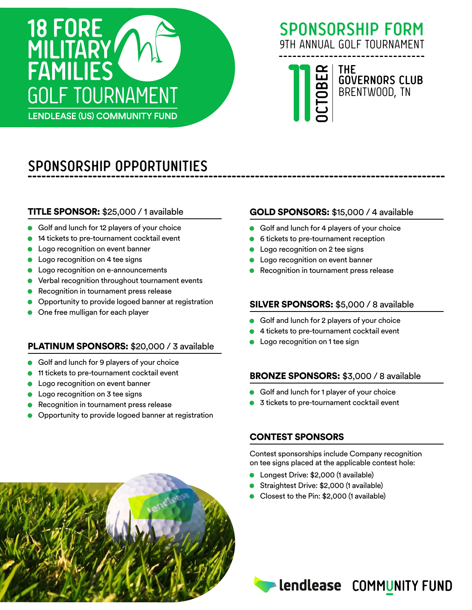

### **SPONSORSHIP FORM** 9TH ANNUAL GOLF TOURNAMENT

11 **OCTOBERTHE GOVERNORS CLUB** BRENTWOOD, TN

# **SPONSORSHIP OPPORTUNITIES**

#### TITLE SPONSOR: \$25,000 / 1 available

- Golf and lunch for 12 players of your choice
- **14 tickets to pre-tournament cocktail event**
- Logo recognition on event banner
- Logo recognition on 4 tee signs
- Logo recognition on e-announcements
- Verbal recognition throughout tournament events
- Recognition in tournament press release
- Opportunity to provide logoed banner at registration
- One free mulligan for each player

#### PLATINUM SPONSORS: \$20,000 / 3 available

- Golf and lunch for 9 players of your choice
- 11 tickets to pre-tournament cocktail event
- Logo recognition on event banner
- **Logo recognition on 3 tee signs**
- Recognition in tournament press release
- Opportunity to provide logoed banner at registration

#### GOLD SPONSORS: \$15,000 / 4 available

- Golf and lunch for 4 players of your choice
- 6 tickets to pre-tournament reception
- Logo recognition on 2 tee signs
- Logo recognition on event banner
- Recognition in tournament press release

#### SILVER SPONSORS: \$5,000 / 8 available

- Golf and lunch for 2 players of your choice
- 4 tickets to pre-tournament cocktail event
- Logo recognition on 1 tee sign

#### BRONZE SPONSORS: \$3,000 / 8 available

- Golf and lunch for 1 player of your choice
- 3 tickets to pre-tournament cocktail event

#### CONTEST SPONSORS

Contest sponsorships include Company recognition on tee signs placed at the applicable contest hole:

- Longest Drive: \$2,000 (1 available)
- Straightest Drive: \$2,000 (1 available)
- Closest to the Pin: \$2,000 (1 available)